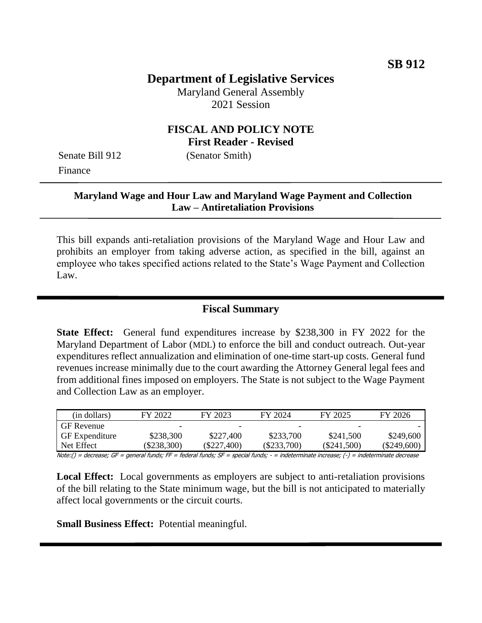# **Department of Legislative Services**

Maryland General Assembly 2021 Session

## **FISCAL AND POLICY NOTE First Reader - Revised**

Finance

Senate Bill 912 (Senator Smith)

## **Maryland Wage and Hour Law and Maryland Wage Payment and Collection Law – Antiretaliation Provisions**

This bill expands anti-retaliation provisions of the Maryland Wage and Hour Law and prohibits an employer from taking adverse action, as specified in the bill, against an employee who takes specified actions related to the State's Wage Payment and Collection Law.

## **Fiscal Summary**

**State Effect:** General fund expenditures increase by \$238,300 in FY 2022 for the Maryland Department of Labor (MDL) to enforce the bill and conduct outreach. Out-year expenditures reflect annualization and elimination of one-time start-up costs. General fund revenues increase minimally due to the court awarding the Attorney General legal fees and from additional fines imposed on employers. The State is not subject to the Wage Payment and Collection Law as an employer.

| (in dollars)      | FY 2022       | FY 2023     | FY 2024       | FY 2025     | FY 2026     |
|-------------------|---------------|-------------|---------------|-------------|-------------|
| <b>GF</b> Revenue |               | -           | -             | -           |             |
| l GF Expenditure  | \$238,300     | \$227,400   | \$233,700     | \$241,500   | \$249,600   |
| Net Effect        | $(\$238,300)$ | (\$227,400) | $(\$233,700)$ | (\$241,500) | (\$249,600) |
| .<br>$ -$         | $- -$         |             |               |             |             |

Note:() = decrease; GF = general funds; FF = federal funds; SF = special funds; - = indeterminate increase; (-) = indeterminate decrease

**Local Effect:** Local governments as employers are subject to anti-retaliation provisions of the bill relating to the State minimum wage, but the bill is not anticipated to materially affect local governments or the circuit courts.

**Small Business Effect:** Potential meaningful.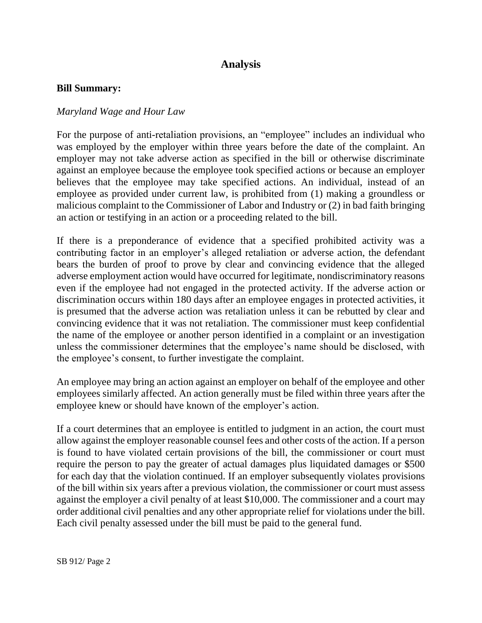# **Analysis**

#### **Bill Summary:**

#### *Maryland Wage and Hour Law*

For the purpose of anti-retaliation provisions, an "employee" includes an individual who was employed by the employer within three years before the date of the complaint. An employer may not take adverse action as specified in the bill or otherwise discriminate against an employee because the employee took specified actions or because an employer believes that the employee may take specified actions. An individual, instead of an employee as provided under current law, is prohibited from (1) making a groundless or malicious complaint to the Commissioner of Labor and Industry or (2) in bad faith bringing an action or testifying in an action or a proceeding related to the bill.

If there is a preponderance of evidence that a specified prohibited activity was a contributing factor in an employer's alleged retaliation or adverse action, the defendant bears the burden of proof to prove by clear and convincing evidence that the alleged adverse employment action would have occurred for legitimate, nondiscriminatory reasons even if the employee had not engaged in the protected activity. If the adverse action or discrimination occurs within 180 days after an employee engages in protected activities, it is presumed that the adverse action was retaliation unless it can be rebutted by clear and convincing evidence that it was not retaliation. The commissioner must keep confidential the name of the employee or another person identified in a complaint or an investigation unless the commissioner determines that the employee's name should be disclosed, with the employee's consent, to further investigate the complaint.

An employee may bring an action against an employer on behalf of the employee and other employees similarly affected. An action generally must be filed within three years after the employee knew or should have known of the employer's action.

If a court determines that an employee is entitled to judgment in an action, the court must allow against the employer reasonable counsel fees and other costs of the action. If a person is found to have violated certain provisions of the bill, the commissioner or court must require the person to pay the greater of actual damages plus liquidated damages or \$500 for each day that the violation continued. If an employer subsequently violates provisions of the bill within six years after a previous violation, the commissioner or court must assess against the employer a civil penalty of at least \$10,000. The commissioner and a court may order additional civil penalties and any other appropriate relief for violations under the bill. Each civil penalty assessed under the bill must be paid to the general fund.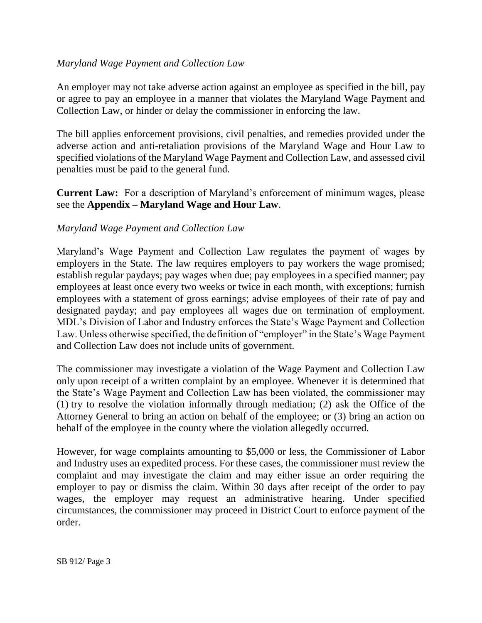## *Maryland Wage Payment and Collection Law*

An employer may not take adverse action against an employee as specified in the bill, pay or agree to pay an employee in a manner that violates the Maryland Wage Payment and Collection Law, or hinder or delay the commissioner in enforcing the law.

The bill applies enforcement provisions, civil penalties, and remedies provided under the adverse action and anti-retaliation provisions of the Maryland Wage and Hour Law to specified violations of the Maryland Wage Payment and Collection Law, and assessed civil penalties must be paid to the general fund.

**Current Law:** For a description of Maryland's enforcement of minimum wages, please see the **Appendix – Maryland Wage and Hour Law**.

#### *Maryland Wage Payment and Collection Law*

Maryland's Wage Payment and Collection Law regulates the payment of wages by employers in the State. The law requires employers to pay workers the wage promised; establish regular paydays; pay wages when due; pay employees in a specified manner; pay employees at least once every two weeks or twice in each month, with exceptions; furnish employees with a statement of gross earnings; advise employees of their rate of pay and designated payday; and pay employees all wages due on termination of employment. MDL's Division of Labor and Industry enforces the State's Wage Payment and Collection Law. Unless otherwise specified, the definition of "employer" in the State's Wage Payment and Collection Law does not include units of government.

The commissioner may investigate a violation of the Wage Payment and Collection Law only upon receipt of a written complaint by an employee. Whenever it is determined that the State's Wage Payment and Collection Law has been violated, the commissioner may (1) try to resolve the violation informally through mediation; (2) ask the Office of the Attorney General to bring an action on behalf of the employee; or (3) bring an action on behalf of the employee in the county where the violation allegedly occurred.

However, for wage complaints amounting to \$5,000 or less, the Commissioner of Labor and Industry uses an expedited process. For these cases, the commissioner must review the complaint and may investigate the claim and may either issue an order requiring the employer to pay or dismiss the claim. Within 30 days after receipt of the order to pay wages, the employer may request an administrative hearing. Under specified circumstances, the commissioner may proceed in District Court to enforce payment of the order.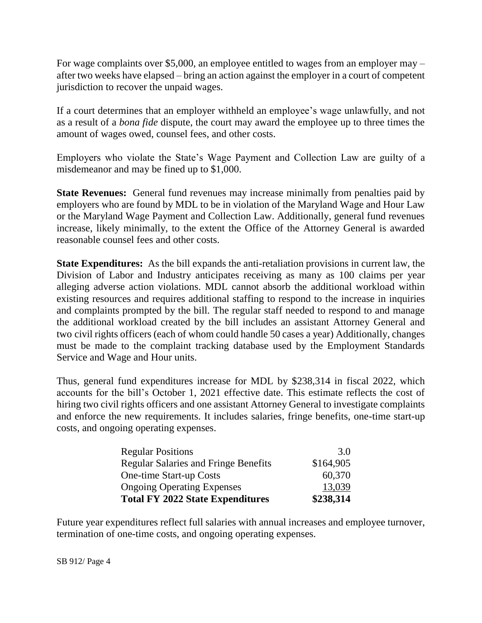For wage complaints over \$5,000, an employee entitled to wages from an employer may – after two weeks have elapsed – bring an action against the employer in a court of competent jurisdiction to recover the unpaid wages.

If a court determines that an employer withheld an employee's wage unlawfully, and not as a result of a *bona fide* dispute, the court may award the employee up to three times the amount of wages owed, counsel fees, and other costs.

Employers who violate the State's Wage Payment and Collection Law are guilty of a misdemeanor and may be fined up to \$1,000.

**State Revenues:** General fund revenues may increase minimally from penalties paid by employers who are found by MDL to be in violation of the Maryland Wage and Hour Law or the Maryland Wage Payment and Collection Law. Additionally, general fund revenues increase, likely minimally, to the extent the Office of the Attorney General is awarded reasonable counsel fees and other costs.

**State Expenditures:** As the bill expands the anti-retaliation provisions in current law, the Division of Labor and Industry anticipates receiving as many as 100 claims per year alleging adverse action violations. MDL cannot absorb the additional workload within existing resources and requires additional staffing to respond to the increase in inquiries and complaints prompted by the bill. The regular staff needed to respond to and manage the additional workload created by the bill includes an assistant Attorney General and two civil rights officers (each of whom could handle 50 cases a year) Additionally, changes must be made to the complaint tracking database used by the Employment Standards Service and Wage and Hour units.

Thus, general fund expenditures increase for MDL by \$238,314 in fiscal 2022, which accounts for the bill's October 1, 2021 effective date. This estimate reflects the cost of hiring two civil rights officers and one assistant Attorney General to investigate complaints and enforce the new requirements. It includes salaries, fringe benefits, one-time start-up costs, and ongoing operating expenses.

| <b>Regular Positions</b>                    | 3.0       |
|---------------------------------------------|-----------|
| <b>Regular Salaries and Fringe Benefits</b> | \$164,905 |
| One-time Start-up Costs                     | 60,370    |
| <b>Ongoing Operating Expenses</b>           | 13,039    |
| <b>Total FY 2022 State Expenditures</b>     | \$238,314 |

Future year expenditures reflect full salaries with annual increases and employee turnover, termination of one-time costs, and ongoing operating expenses.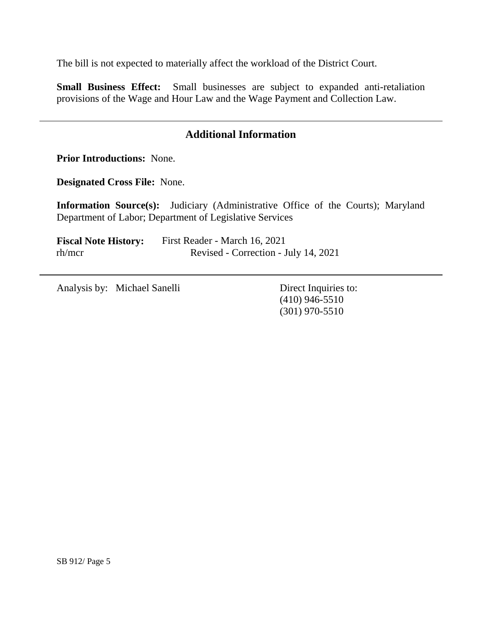The bill is not expected to materially affect the workload of the District Court.

**Small Business Effect:** Small businesses are subject to expanded anti-retaliation provisions of the Wage and Hour Law and the Wage Payment and Collection Law.

# **Additional Information**

**Prior Introductions:** None.

**Designated Cross File:** None.

**Information Source(s):** Judiciary (Administrative Office of the Courts); Maryland Department of Labor; Department of Legislative Services

**Fiscal Note History:** First Reader - March 16, 2021 rh/mcr Revised - Correction - July 14, 2021

Analysis by: Michael Sanelli Direct Inquiries to:

(410) 946-5510 (301) 970-5510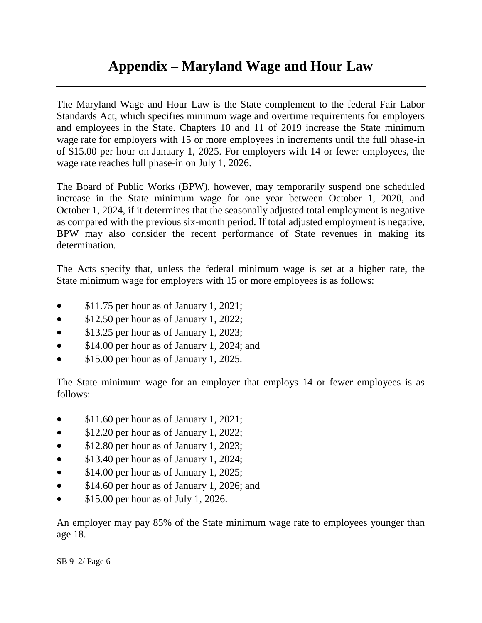# **Appendix – Maryland Wage and Hour Law**

The Maryland Wage and Hour Law is the State complement to the federal Fair Labor Standards Act, which specifies minimum wage and overtime requirements for employers and employees in the State. Chapters 10 and 11 of 2019 increase the State minimum wage rate for employers with 15 or more employees in increments until the full phase-in of \$15.00 per hour on January 1, 2025. For employers with 14 or fewer employees, the wage rate reaches full phase-in on July 1, 2026.

The Board of Public Works (BPW), however, may temporarily suspend one scheduled increase in the State minimum wage for one year between October 1, 2020, and October 1, 2024, if it determines that the seasonally adjusted total employment is negative as compared with the previous six-month period. If total adjusted employment is negative, BPW may also consider the recent performance of State revenues in making its determination.

The Acts specify that, unless the federal minimum wage is set at a higher rate, the State minimum wage for employers with 15 or more employees is as follows:

- \$11.75 per hour as of January 1, 2021;
- \$12.50 per hour as of January 1, 2022;
- \$13.25 per hour as of January 1, 2023;
- \$14.00 per hour as of January 1, 2024; and
- **S15.00 per hour as of January 1, 2025.**

The State minimum wage for an employer that employs 14 or fewer employees is as follows:

- \$11.60 per hour as of January 1, 2021;
- \$12.20 per hour as of January 1, 2022;
- \$12.80 per hour as of January 1, 2023;
- \$13.40 per hour as of January 1, 2024;
- \$14.00 per hour as of January 1, 2025;
- \$14.60 per hour as of January 1, 2026; and
- $\bullet$  \$15.00 per hour as of July 1, 2026.

An employer may pay 85% of the State minimum wage rate to employees younger than age 18.